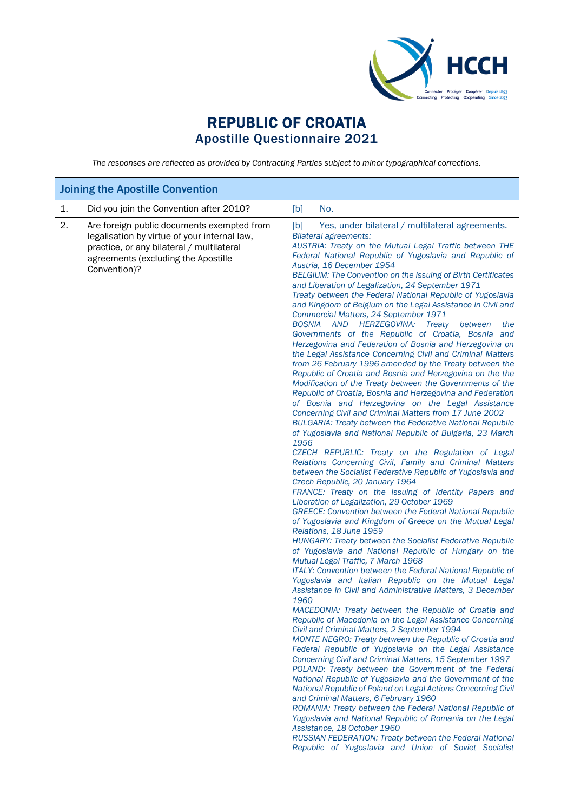

## REPUBLIC OF CROATIA Apostille Questionnaire 2021

*The responses are reflected as provided by Contracting Parties subject to minor typographical corrections.*

| <b>Joining the Apostille Convention</b> |                                                                                                                                                                                                |                                                                                                                                                                                                                                                                                                                                                                                                                                                                                                                                                                                                                                                                                                                                                                                                                                                                                                                                                                                                                                                                                                                                                                                                                                                                                                                                                                                                                                                                                                                                                                                                                                                                                                                                                                                                                                                                                                                                                                                                                                                                                                                                                                                                                                                                                                                                                                                                                                                                                                                                                                                                                                                                                                                                                                                                                                                                          |  |  |
|-----------------------------------------|------------------------------------------------------------------------------------------------------------------------------------------------------------------------------------------------|--------------------------------------------------------------------------------------------------------------------------------------------------------------------------------------------------------------------------------------------------------------------------------------------------------------------------------------------------------------------------------------------------------------------------------------------------------------------------------------------------------------------------------------------------------------------------------------------------------------------------------------------------------------------------------------------------------------------------------------------------------------------------------------------------------------------------------------------------------------------------------------------------------------------------------------------------------------------------------------------------------------------------------------------------------------------------------------------------------------------------------------------------------------------------------------------------------------------------------------------------------------------------------------------------------------------------------------------------------------------------------------------------------------------------------------------------------------------------------------------------------------------------------------------------------------------------------------------------------------------------------------------------------------------------------------------------------------------------------------------------------------------------------------------------------------------------------------------------------------------------------------------------------------------------------------------------------------------------------------------------------------------------------------------------------------------------------------------------------------------------------------------------------------------------------------------------------------------------------------------------------------------------------------------------------------------------------------------------------------------------------------------------------------------------------------------------------------------------------------------------------------------------------------------------------------------------------------------------------------------------------------------------------------------------------------------------------------------------------------------------------------------------------------------------------------------------------------------------------------------------|--|--|
| 1.                                      | Did you join the Convention after 2010?                                                                                                                                                        | [b]<br>No.                                                                                                                                                                                                                                                                                                                                                                                                                                                                                                                                                                                                                                                                                                                                                                                                                                                                                                                                                                                                                                                                                                                                                                                                                                                                                                                                                                                                                                                                                                                                                                                                                                                                                                                                                                                                                                                                                                                                                                                                                                                                                                                                                                                                                                                                                                                                                                                                                                                                                                                                                                                                                                                                                                                                                                                                                                                               |  |  |
| 2.                                      | Are foreign public documents exempted from<br>legalisation by virtue of your internal law,<br>practice, or any bilateral / multilateral<br>agreements (excluding the Apostille<br>Convention)? | [b]<br>Yes, under bilateral / multilateral agreements.<br><b>Bilateral agreements:</b><br>AUSTRIA: Treaty on the Mutual Legal Traffic between THE<br>Federal National Republic of Yugoslavia and Republic of<br>Austria, 16 December 1954<br>BELGIUM: The Convention on the Issuing of Birth Certificates<br>and Liberation of Legalization, 24 September 1971<br>Treaty between the Federal National Republic of Yugoslavia<br>and Kingdom of Belgium on the Legal Assistance in Civil and<br>Commercial Matters, 24 September 1971<br>BOSNIA AND HERZEGOVINA:<br>Treaty between<br>the<br>Governments of the Republic of Croatia, Bosnia and<br>Herzegovina and Federation of Bosnia and Herzegovina on<br>the Legal Assistance Concerning Civil and Criminal Matters<br>from 26 February 1996 amended by the Treaty between the<br>Republic of Croatia and Bosnia and Herzegovina on the the<br>Modification of the Treaty between the Governments of the<br>Republic of Croatia, Bosnia and Herzegovina and Federation<br>of Bosnia and Herzegovina on the Legal Assistance<br>Concerning Civil and Criminal Matters from 17 June 2002<br><b>BULGARIA: Treaty between the Federative National Republic</b><br>of Yugoslavia and National Republic of Bulgaria, 23 March<br>1956<br>CZECH REPUBLIC: Treaty on the Regulation of Legal<br>Relations Concerning Civil, Family and Criminal Matters<br>between the Socialist Federative Republic of Yugoslavia and<br>Czech Republic, 20 January 1964<br>FRANCE: Treaty on the Issuing of Identity Papers and<br>Liberation of Legalization, 29 October 1969<br><b>GREECE: Convention between the Federal National Republic</b><br>of Yugoslavia and Kingdom of Greece on the Mutual Legal<br>Relations, 18 June 1959<br>HUNGARY: Treaty between the Socialist Federative Republic<br>of Yugoslavia and National Republic of Hungary on the<br>Mutual Legal Traffic, 7 March 1968<br>ITALY: Convention between the Federal National Republic of<br>Yugoslavia and Italian Republic on the Mutual Legal<br>Assistance in Civil and Administrative Matters, 3 December<br>1960<br>MACEDONIA: Treaty between the Republic of Croatia and<br>Republic of Macedonia on the Legal Assistance Concerning<br>Civil and Criminal Matters, 2 September 1994<br>MONTE NEGRO: Treaty between the Republic of Croatia and<br>Federal Republic of Yugoslavia on the Legal Assistance<br>Concerning Civil and Criminal Matters, 15 September 1997<br>POLAND: Treaty between the Government of the Federal<br>National Republic of Yugoslavia and the Government of the<br>National Republic of Poland on Legal Actions Concerning Civil<br>and Criminal Matters, 6 February 1960<br>ROMANIA: Treaty between the Federal National Republic of<br>Yugoslavia and National Republic of Romania on the Legal<br>Assistance, 18 October 1960 |  |  |
|                                         |                                                                                                                                                                                                | RUSSIAN FEDERATION: Treaty between the Federal National<br>Republic of Yugoslavia and Union of Soviet Socialist                                                                                                                                                                                                                                                                                                                                                                                                                                                                                                                                                                                                                                                                                                                                                                                                                                                                                                                                                                                                                                                                                                                                                                                                                                                                                                                                                                                                                                                                                                                                                                                                                                                                                                                                                                                                                                                                                                                                                                                                                                                                                                                                                                                                                                                                                                                                                                                                                                                                                                                                                                                                                                                                                                                                                          |  |  |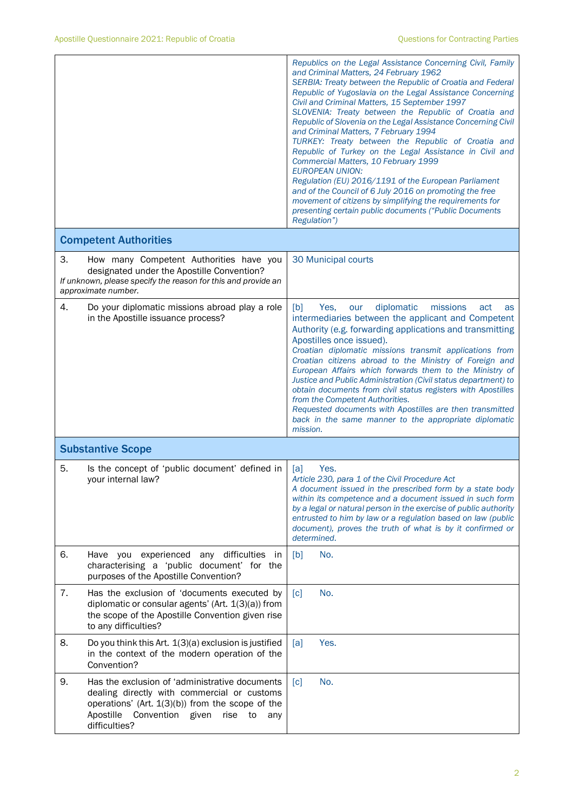|    |                                                                                                                                                                                                                             | Republics on the Legal Assistance Concerning Civil, Family<br>and Criminal Matters, 24 February 1962<br>SERBIA: Treaty between the Republic of Croatia and Federal<br>Republic of Yugoslavia on the Legal Assistance Concerning<br>Civil and Criminal Matters, 15 September 1997<br>SLOVENIA: Treaty between the Republic of Croatia and<br>Republic of Slovenia on the Legal Assistance Concerning Civil<br>and Criminal Matters, 7 February 1994<br>TURKEY: Treaty between the Republic of Croatia and<br>Republic of Turkey on the Legal Assistance in Civil and<br>Commercial Matters, 10 February 1999<br><b>EUROPEAN UNION:</b><br>Regulation (EU) 2016/1191 of the European Parliament<br>and of the Council of 6 July 2016 on promoting the free<br>movement of citizens by simplifying the requirements for<br>presenting certain public documents ("Public Documents<br>Regulation") |
|----|-----------------------------------------------------------------------------------------------------------------------------------------------------------------------------------------------------------------------------|------------------------------------------------------------------------------------------------------------------------------------------------------------------------------------------------------------------------------------------------------------------------------------------------------------------------------------------------------------------------------------------------------------------------------------------------------------------------------------------------------------------------------------------------------------------------------------------------------------------------------------------------------------------------------------------------------------------------------------------------------------------------------------------------------------------------------------------------------------------------------------------------|
|    | <b>Competent Authorities</b>                                                                                                                                                                                                |                                                                                                                                                                                                                                                                                                                                                                                                                                                                                                                                                                                                                                                                                                                                                                                                                                                                                                |
| 3. | How many Competent Authorities have you<br>designated under the Apostille Convention?<br>If unknown, please specify the reason for this and provide an<br>approximate number.                                               | 30 Municipal courts                                                                                                                                                                                                                                                                                                                                                                                                                                                                                                                                                                                                                                                                                                                                                                                                                                                                            |
| 4. | Do your diplomatic missions abroad play a role<br>in the Apostille issuance process?                                                                                                                                        | [b]<br>diplomatic<br>missions<br>Yes.<br>our<br>act<br>as<br>intermediaries between the applicant and Competent<br>Authority (e.g. forwarding applications and transmitting<br>Apostilles once issued).<br>Croatian diplomatic missions transmit applications from<br>Croatian citizens abroad to the Ministry of Foreign and<br>European Affairs which forwards them to the Ministry of<br>Justice and Public Administration (Civil status department) to<br>obtain documents from civil status registers with Apostilles<br>from the Competent Authorities.<br>Requested documents with Apostilles are then transmitted<br>back in the same manner to the appropriate diplomatic<br>mission.                                                                                                                                                                                                 |
|    | <b>Substantive Scope</b>                                                                                                                                                                                                    |                                                                                                                                                                                                                                                                                                                                                                                                                                                                                                                                                                                                                                                                                                                                                                                                                                                                                                |
| 5. | Is the concept of 'public document' defined in<br>vour internal law?                                                                                                                                                        | Yes.<br><u>al</u><br>Article 230, para 1 of the Civil Procedure Act<br>A document issued in the prescribed form by a state body<br>within its competence and a document issued in such form<br>by a legal or natural person in the exercise of public authority<br>entrusted to him by law or a regulation based on law (public<br>document), proves the truth of what is by it confirmed or<br>determined.                                                                                                                                                                                                                                                                                                                                                                                                                                                                                    |
| 6. | Have you experienced any difficulties in<br>characterising a 'public document' for the<br>purposes of the Apostille Convention?                                                                                             | No.<br>[b]                                                                                                                                                                                                                                                                                                                                                                                                                                                                                                                                                                                                                                                                                                                                                                                                                                                                                     |
| 7. | Has the exclusion of 'documents executed by<br>diplomatic or consular agents' (Art. 1(3)(a)) from<br>the scope of the Apostille Convention given rise<br>to any difficulties?                                               | No.<br>$\lceil c \rceil$                                                                                                                                                                                                                                                                                                                                                                                                                                                                                                                                                                                                                                                                                                                                                                                                                                                                       |
| 8. | Do you think this Art. 1(3)(a) exclusion is justified<br>in the context of the modern operation of the<br>Convention?                                                                                                       | Yes.<br>[a]                                                                                                                                                                                                                                                                                                                                                                                                                                                                                                                                                                                                                                                                                                                                                                                                                                                                                    |
| 9. | Has the exclusion of 'administrative documents<br>dealing directly with commercial or customs<br>operations' (Art. $1(3)(b)$ ) from the scope of the<br>Apostille<br>Convention given<br>rise<br>to<br>any<br>difficulties? | No.<br>$\lceil c \rceil$                                                                                                                                                                                                                                                                                                                                                                                                                                                                                                                                                                                                                                                                                                                                                                                                                                                                       |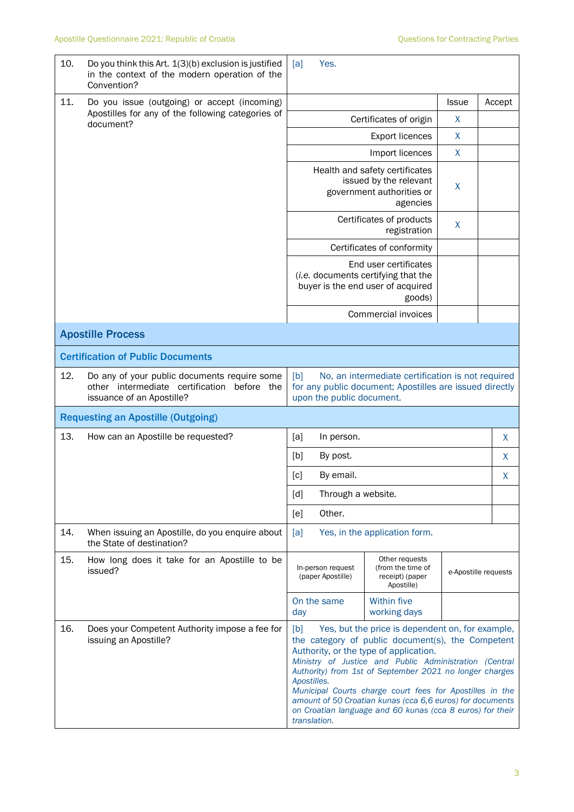| 10.                                       | Do you think this Art. 1(3)(b) exclusion is justified<br>in the context of the modern operation of the<br>Convention?       | [a]<br>Yes.                                                                                                                                                                                                                                                                                                                                                                                                                                                                                      |                                                                      |                      |        |
|-------------------------------------------|-----------------------------------------------------------------------------------------------------------------------------|--------------------------------------------------------------------------------------------------------------------------------------------------------------------------------------------------------------------------------------------------------------------------------------------------------------------------------------------------------------------------------------------------------------------------------------------------------------------------------------------------|----------------------------------------------------------------------|----------------------|--------|
| 11.                                       | Do you issue (outgoing) or accept (incoming)<br>Apostilles for any of the following categories of<br>document?              |                                                                                                                                                                                                                                                                                                                                                                                                                                                                                                  |                                                                      | <b>Issue</b>         | Accept |
|                                           |                                                                                                                             |                                                                                                                                                                                                                                                                                                                                                                                                                                                                                                  | Certificates of origin                                               | X                    |        |
|                                           |                                                                                                                             |                                                                                                                                                                                                                                                                                                                                                                                                                                                                                                  | $\mathsf{X}$                                                         |                      |        |
|                                           |                                                                                                                             | X<br>Import licences                                                                                                                                                                                                                                                                                                                                                                                                                                                                             |                                                                      |                      |        |
|                                           |                                                                                                                             | Health and safety certificates<br>issued by the relevant<br>X<br>government authorities or<br>agencies                                                                                                                                                                                                                                                                                                                                                                                           |                                                                      |                      |        |
|                                           |                                                                                                                             |                                                                                                                                                                                                                                                                                                                                                                                                                                                                                                  | Certificates of products<br>registration                             | X                    |        |
|                                           |                                                                                                                             |                                                                                                                                                                                                                                                                                                                                                                                                                                                                                                  | Certificates of conformity                                           |                      |        |
|                                           |                                                                                                                             | End user certificates<br>(i.e. documents certifying that the<br>buyer is the end user of acquired                                                                                                                                                                                                                                                                                                                                                                                                |                                                                      |                      |        |
|                                           |                                                                                                                             |                                                                                                                                                                                                                                                                                                                                                                                                                                                                                                  | Commercial invoices                                                  |                      |        |
|                                           | <b>Apostille Process</b>                                                                                                    |                                                                                                                                                                                                                                                                                                                                                                                                                                                                                                  |                                                                      |                      |        |
|                                           | <b>Certification of Public Documents</b>                                                                                    |                                                                                                                                                                                                                                                                                                                                                                                                                                                                                                  |                                                                      |                      |        |
| 12.                                       | Do any of your public documents require some<br>other intermediate certification<br>before the<br>issuance of an Apostille? | No, an intermediate certification is not required<br>[b]<br>for any public document; Apostilles are issued directly<br>upon the public document.                                                                                                                                                                                                                                                                                                                                                 |                                                                      |                      |        |
| <b>Requesting an Apostille (Outgoing)</b> |                                                                                                                             |                                                                                                                                                                                                                                                                                                                                                                                                                                                                                                  |                                                                      |                      |        |
| 13.                                       | How can an Apostille be requested?                                                                                          | [a]<br>In person.                                                                                                                                                                                                                                                                                                                                                                                                                                                                                |                                                                      |                      | X      |
|                                           |                                                                                                                             | [b]<br>By post.                                                                                                                                                                                                                                                                                                                                                                                                                                                                                  |                                                                      |                      | X      |
|                                           |                                                                                                                             | [c]<br>By email.                                                                                                                                                                                                                                                                                                                                                                                                                                                                                 |                                                                      |                      | X      |
|                                           |                                                                                                                             | [d]<br>Through a website.                                                                                                                                                                                                                                                                                                                                                                                                                                                                        |                                                                      |                      |        |
|                                           |                                                                                                                             | Other.<br>[e]                                                                                                                                                                                                                                                                                                                                                                                                                                                                                    |                                                                      |                      |        |
| 14.                                       | When issuing an Apostille, do you enquire about<br>the State of destination?                                                | [a]<br>Yes, in the application form.                                                                                                                                                                                                                                                                                                                                                                                                                                                             |                                                                      |                      |        |
| 15.                                       | How long does it take for an Apostille to be<br>issued?                                                                     | In-person request<br>(paper Apostille)                                                                                                                                                                                                                                                                                                                                                                                                                                                           | Other requests<br>(from the time of<br>receipt) (paper<br>Apostille) | e-Apostille requests |        |
|                                           |                                                                                                                             | On the same<br>day                                                                                                                                                                                                                                                                                                                                                                                                                                                                               | <b>Within five</b><br>working days                                   |                      |        |
| 16.                                       | Does your Competent Authority impose a fee for<br>issuing an Apostille?                                                     | Yes, but the price is dependent on, for example,<br>[b]<br>the category of public document(s), the Competent<br>Authority, or the type of application.<br>Ministry of Justice and Public Administration (Central<br>Authority) from 1st of September 2021 no longer charges<br>Apostilles.<br>Municipal Courts charge court fees for Apostilles in the<br>amount of 50 Croatian kunas (cca 6,6 euros) for documents<br>on Croatian language and 60 kunas (cca 8 euros) for their<br>translation. |                                                                      |                      |        |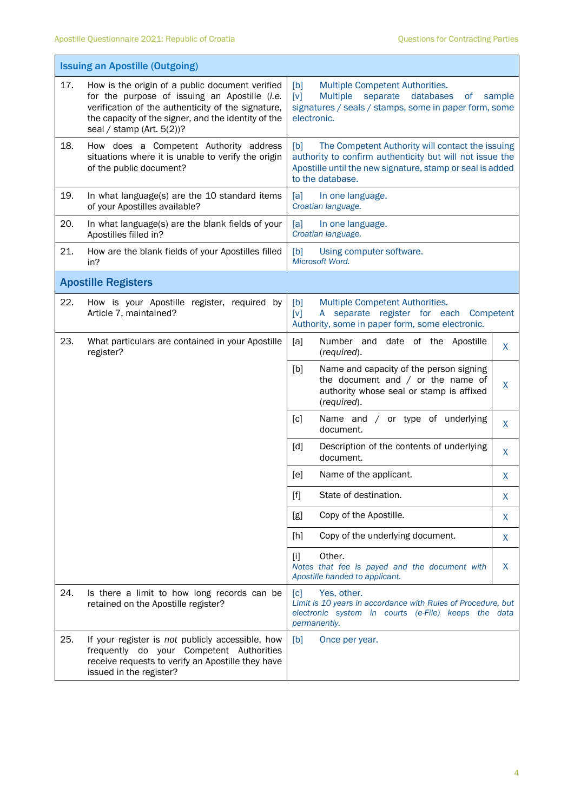$\mathbf{r}$ 

| <b>Issuing an Apostille (Outgoing)</b> |                                                                                                                                                                                                                                               |                                                                                                                                                                                                      |  |  |  |
|----------------------------------------|-----------------------------------------------------------------------------------------------------------------------------------------------------------------------------------------------------------------------------------------------|------------------------------------------------------------------------------------------------------------------------------------------------------------------------------------------------------|--|--|--|
| 17.                                    | How is the origin of a public document verified<br>for the purpose of issuing an Apostille (i.e.<br>verification of the authenticity of the signature,<br>the capacity of the signer, and the identity of the<br>seal / stamp (Art. $5(2)$ )? | [b]<br>Multiple Competent Authorities.<br>[v]<br><b>Multiple</b><br>separate<br>databases<br>sample<br>οf<br>signatures / seals / stamps, some in paper form, some<br>electronic.                    |  |  |  |
| 18.                                    | How does a Competent Authority address<br>situations where it is unable to verify the origin<br>of the public document?                                                                                                                       | [b]<br>The Competent Authority will contact the issuing<br>authority to confirm authenticity but will not issue the<br>Apostille until the new signature, stamp or seal is added<br>to the database. |  |  |  |
| 19.                                    | In what language(s) are the 10 standard items<br>of your Apostilles available?                                                                                                                                                                | [a]<br>In one language.<br>Croatian language.                                                                                                                                                        |  |  |  |
| 20.                                    | In what language(s) are the blank fields of your<br>Apostilles filled in?                                                                                                                                                                     | [a]<br>In one language.<br>Croatian language.                                                                                                                                                        |  |  |  |
| 21.                                    | How are the blank fields of your Apostilles filled<br>in?                                                                                                                                                                                     | [b]<br>Using computer software.<br>Microsoft Word.                                                                                                                                                   |  |  |  |
|                                        | <b>Apostille Registers</b>                                                                                                                                                                                                                    |                                                                                                                                                                                                      |  |  |  |
| 22.                                    | How is your Apostille register, required by<br>Article 7, maintained?                                                                                                                                                                         | [b]<br>Multiple Competent Authorities.<br>$[v]$<br>A separate register for each Competent<br>Authority, some in paper form, some electronic.                                                         |  |  |  |
| 23.                                    | What particulars are contained in your Apostille<br>register?                                                                                                                                                                                 | [a]<br>Number and date of the Apostille<br>X<br>(required).                                                                                                                                          |  |  |  |
|                                        |                                                                                                                                                                                                                                               | [b]<br>Name and capacity of the person signing<br>the document and $/$ or the name of<br>X<br>authority whose seal or stamp is affixed<br>(required).                                                |  |  |  |
|                                        |                                                                                                                                                                                                                                               | [c]<br>Name and / or type of underlying<br>X<br>document.                                                                                                                                            |  |  |  |
|                                        |                                                                                                                                                                                                                                               | Description of the contents of underlying<br>[d]<br>X<br>document.                                                                                                                                   |  |  |  |
|                                        |                                                                                                                                                                                                                                               | [e]<br>Name of the applicant.<br>X                                                                                                                                                                   |  |  |  |
|                                        |                                                                                                                                                                                                                                               | $[f]$<br>State of destination.<br>X                                                                                                                                                                  |  |  |  |
|                                        |                                                                                                                                                                                                                                               | Copy of the Apostille.<br>[g]<br>X                                                                                                                                                                   |  |  |  |
|                                        |                                                                                                                                                                                                                                               | Copy of the underlying document.<br>$[h]$<br>X                                                                                                                                                       |  |  |  |
|                                        |                                                                                                                                                                                                                                               | Other.<br>$[1]$<br>X<br>Notes that fee is payed and the document with<br>Apostille handed to applicant.                                                                                              |  |  |  |
| 24.                                    | Is there a limit to how long records can be<br>retained on the Apostille register?                                                                                                                                                            | $\lceil c \rceil$<br>Yes, other.<br>Limit is 10 years in accordance with Rules of Procedure, but<br>electronic system in courts (e-File) keeps the data<br>permanently.                              |  |  |  |
| 25.                                    | If your register is not publicly accessible, how<br>frequently do your Competent Authorities<br>receive requests to verify an Apostille they have<br>issued in the register?                                                                  | [b]<br>Once per year.                                                                                                                                                                                |  |  |  |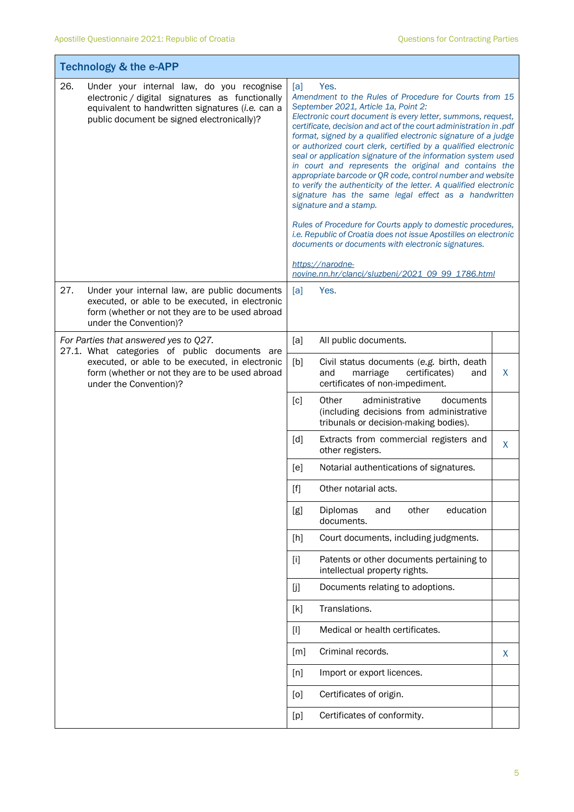T

Ť

| <b>Technology &amp; the e-APP</b>                                                                                                                                                                     |                                                                                                                                                                                                                                                                                                                                                                                                                                                                                                                                                                                                                                                                                                                                                                                                                                                                                                                                                                                                      |  |  |  |  |
|-------------------------------------------------------------------------------------------------------------------------------------------------------------------------------------------------------|------------------------------------------------------------------------------------------------------------------------------------------------------------------------------------------------------------------------------------------------------------------------------------------------------------------------------------------------------------------------------------------------------------------------------------------------------------------------------------------------------------------------------------------------------------------------------------------------------------------------------------------------------------------------------------------------------------------------------------------------------------------------------------------------------------------------------------------------------------------------------------------------------------------------------------------------------------------------------------------------------|--|--|--|--|
| 26.<br>Under your internal law, do you recognise<br>electronic / digital signatures as functionally<br>equivalent to handwritten signatures (i.e. can a<br>public document be signed electronically)? | Yes.<br>[a]<br>Amendment to the Rules of Procedure for Courts from 15<br>September 2021, Article 1a, Point 2:<br>Electronic court document is every letter, summons, request,<br>certificate, decision and act of the court administration in .pdf<br>format, signed by a qualified electronic signature of a judge<br>or authorized court clerk, certified by a qualified electronic<br>seal or application signature of the information system used<br>in court and represents the original and contains the<br>appropriate barcode or QR code, control number and website<br>to verify the authenticity of the letter. A qualified electronic<br>signature has the same legal effect as a handwritten<br>signature and a stamp.<br>Rules of Procedure for Courts apply to domestic procedures,<br>i.e. Republic of Croatia does not issue Apostilles on electronic<br>documents or documents with electronic signatures.<br>https://narodne-<br>novine.nn.hr/clanci/sluzbeni/2021_09_99_1786.html |  |  |  |  |
| 27.<br>Under your internal law, are public documents<br>executed, or able to be executed, in electronic<br>form (whether or not they are to be used abroad<br>under the Convention)?                  | [a]<br>Yes.                                                                                                                                                                                                                                                                                                                                                                                                                                                                                                                                                                                                                                                                                                                                                                                                                                                                                                                                                                                          |  |  |  |  |
| For Parties that answered yes to Q27.<br>27.1. What categories of public documents are                                                                                                                | [a]<br>All public documents.                                                                                                                                                                                                                                                                                                                                                                                                                                                                                                                                                                                                                                                                                                                                                                                                                                                                                                                                                                         |  |  |  |  |
| executed, or able to be executed, in electronic<br>form (whether or not they are to be used abroad<br>under the Convention)?                                                                          | [b]<br>Civil status documents (e.g. birth, death<br>certificates)<br>X<br>and<br>marriage<br>and<br>certificates of non-impediment.                                                                                                                                                                                                                                                                                                                                                                                                                                                                                                                                                                                                                                                                                                                                                                                                                                                                  |  |  |  |  |
|                                                                                                                                                                                                       | Other<br>[c]<br>administrative<br>documents<br>(including decisions from administrative<br>tribunals or decision-making bodies).                                                                                                                                                                                                                                                                                                                                                                                                                                                                                                                                                                                                                                                                                                                                                                                                                                                                     |  |  |  |  |
|                                                                                                                                                                                                       | [d]<br>Extracts from commercial registers and<br>X<br>other registers.                                                                                                                                                                                                                                                                                                                                                                                                                                                                                                                                                                                                                                                                                                                                                                                                                                                                                                                               |  |  |  |  |
|                                                                                                                                                                                                       | [e]<br>Notarial authentications of signatures.                                                                                                                                                                                                                                                                                                                                                                                                                                                                                                                                                                                                                                                                                                                                                                                                                                                                                                                                                       |  |  |  |  |
|                                                                                                                                                                                                       | $[f]$<br>Other notarial acts.                                                                                                                                                                                                                                                                                                                                                                                                                                                                                                                                                                                                                                                                                                                                                                                                                                                                                                                                                                        |  |  |  |  |
|                                                                                                                                                                                                       | Diplomas<br>other<br>education<br>[g]<br>and<br>documents.                                                                                                                                                                                                                                                                                                                                                                                                                                                                                                                                                                                                                                                                                                                                                                                                                                                                                                                                           |  |  |  |  |
|                                                                                                                                                                                                       | Court documents, including judgments.<br>[h]                                                                                                                                                                                                                                                                                                                                                                                                                                                                                                                                                                                                                                                                                                                                                                                                                                                                                                                                                         |  |  |  |  |
|                                                                                                                                                                                                       | $[1]$<br>Patents or other documents pertaining to<br>intellectual property rights.                                                                                                                                                                                                                                                                                                                                                                                                                                                                                                                                                                                                                                                                                                                                                                                                                                                                                                                   |  |  |  |  |
|                                                                                                                                                                                                       | Documents relating to adoptions.<br>$[]$                                                                                                                                                                                                                                                                                                                                                                                                                                                                                                                                                                                                                                                                                                                                                                                                                                                                                                                                                             |  |  |  |  |
|                                                                                                                                                                                                       | Translations.<br>[k]                                                                                                                                                                                                                                                                                                                                                                                                                                                                                                                                                                                                                                                                                                                                                                                                                                                                                                                                                                                 |  |  |  |  |
|                                                                                                                                                                                                       | Medical or health certificates.<br>$[1]$                                                                                                                                                                                                                                                                                                                                                                                                                                                                                                                                                                                                                                                                                                                                                                                                                                                                                                                                                             |  |  |  |  |
|                                                                                                                                                                                                       | Criminal records.<br>$\lceil m \rceil$<br>X                                                                                                                                                                                                                                                                                                                                                                                                                                                                                                                                                                                                                                                                                                                                                                                                                                                                                                                                                          |  |  |  |  |
|                                                                                                                                                                                                       | Import or export licences.<br>[n]                                                                                                                                                                                                                                                                                                                                                                                                                                                                                                                                                                                                                                                                                                                                                                                                                                                                                                                                                                    |  |  |  |  |
|                                                                                                                                                                                                       | Certificates of origin.<br>[0]                                                                                                                                                                                                                                                                                                                                                                                                                                                                                                                                                                                                                                                                                                                                                                                                                                                                                                                                                                       |  |  |  |  |
|                                                                                                                                                                                                       | Certificates of conformity.<br>[p]                                                                                                                                                                                                                                                                                                                                                                                                                                                                                                                                                                                                                                                                                                                                                                                                                                                                                                                                                                   |  |  |  |  |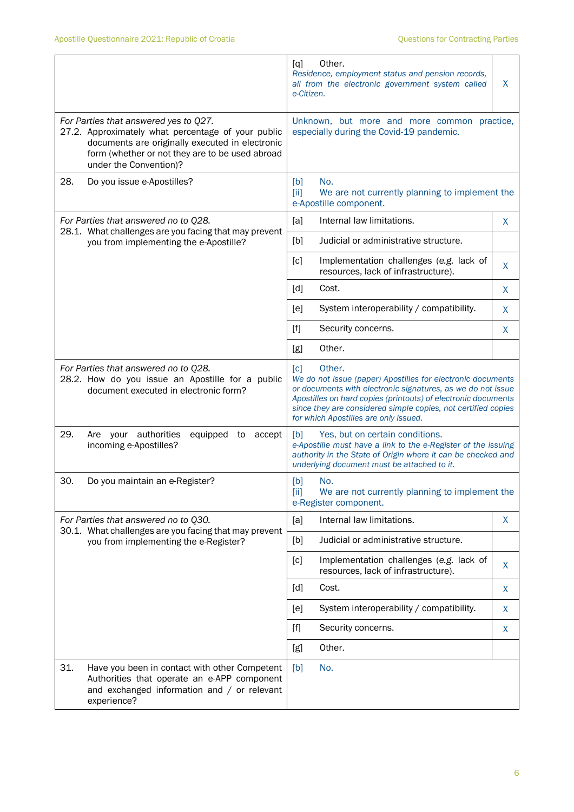|                                                                                                                                   |                                                                                                                                                                                                                             | Other.<br>[q]<br>Residence, employment status and pension records,<br>all from the electronic government system called<br>e-Citizen.                                                                                                                                                                                                 |    |  |  |
|-----------------------------------------------------------------------------------------------------------------------------------|-----------------------------------------------------------------------------------------------------------------------------------------------------------------------------------------------------------------------------|--------------------------------------------------------------------------------------------------------------------------------------------------------------------------------------------------------------------------------------------------------------------------------------------------------------------------------------|----|--|--|
|                                                                                                                                   | For Parties that answered yes to Q27.<br>27.2. Approximately what percentage of your public<br>documents are originally executed in electronic<br>form (whether or not they are to be used abroad<br>under the Convention)? | Unknown, but more and more common practice,<br>especially during the Covid-19 pandemic.                                                                                                                                                                                                                                              |    |  |  |
| 28.                                                                                                                               | Do you issue e-Apostilles?                                                                                                                                                                                                  | [b]<br>No.<br>[ii]<br>We are not currently planning to implement the<br>e-Apostille component.                                                                                                                                                                                                                                       |    |  |  |
|                                                                                                                                   | For Parties that answered no to Q28.<br>28.1. What challenges are you facing that may prevent<br>you from implementing the e-Apostille?                                                                                     | [a]<br>Internal law limitations.                                                                                                                                                                                                                                                                                                     | X  |  |  |
|                                                                                                                                   |                                                                                                                                                                                                                             | [b]<br>Judicial or administrative structure.                                                                                                                                                                                                                                                                                         |    |  |  |
|                                                                                                                                   |                                                                                                                                                                                                                             | [c]<br>Implementation challenges (e.g. lack of<br>resources, lack of infrastructure).                                                                                                                                                                                                                                                | X  |  |  |
|                                                                                                                                   |                                                                                                                                                                                                                             | [d]<br>Cost.                                                                                                                                                                                                                                                                                                                         | X. |  |  |
|                                                                                                                                   |                                                                                                                                                                                                                             | System interoperability / compatibility.<br>[e]                                                                                                                                                                                                                                                                                      | X  |  |  |
|                                                                                                                                   |                                                                                                                                                                                                                             | [f]<br>Security concerns.                                                                                                                                                                                                                                                                                                            | X  |  |  |
|                                                                                                                                   |                                                                                                                                                                                                                             | Other.<br>[g]                                                                                                                                                                                                                                                                                                                        |    |  |  |
| For Parties that answered no to Q28.<br>28.2. How do you issue an Apostille for a public<br>document executed in electronic form? |                                                                                                                                                                                                                             | Other.<br>$\lceil c \rceil$<br>We do not issue (paper) Apostilles for electronic documents<br>or documents with electronic signatures, as we do not issue<br>Apostilles on hard copies (printouts) of electronic documents<br>since they are considered simple copies, not certified copies<br>for which Apostilles are only issued. |    |  |  |
| 29.                                                                                                                               | Are your authorities<br>equipped<br>to<br>accept<br>incoming e-Apostilles?                                                                                                                                                  | Yes, but on certain conditions.<br>[b]<br>e-Apostille must have a link to the e-Register of the issuing<br>authority in the State of Origin where it can be checked and<br>underlying document must be attached to it.                                                                                                               |    |  |  |
| 30.                                                                                                                               | Do you maintain an e-Register?                                                                                                                                                                                              | No.<br>[b]<br>[iii]<br>We are not currently planning to implement the<br>e-Register component.                                                                                                                                                                                                                                       |    |  |  |
|                                                                                                                                   | For Parties that answered no to Q30.<br>30.1. What challenges are you facing that may prevent<br>you from implementing the e-Register?                                                                                      | [a]<br>Internal law limitations.                                                                                                                                                                                                                                                                                                     | X  |  |  |
|                                                                                                                                   |                                                                                                                                                                                                                             | [b]<br>Judicial or administrative structure.                                                                                                                                                                                                                                                                                         |    |  |  |
|                                                                                                                                   |                                                                                                                                                                                                                             | [c]<br>Implementation challenges (e.g. lack of<br>resources, lack of infrastructure).                                                                                                                                                                                                                                                | X  |  |  |
|                                                                                                                                   |                                                                                                                                                                                                                             | [d]<br>Cost.                                                                                                                                                                                                                                                                                                                         | X  |  |  |
|                                                                                                                                   |                                                                                                                                                                                                                             | System interoperability / compatibility.<br>[e]                                                                                                                                                                                                                                                                                      | X  |  |  |
|                                                                                                                                   |                                                                                                                                                                                                                             | $[f]$<br>Security concerns.                                                                                                                                                                                                                                                                                                          | X  |  |  |
|                                                                                                                                   |                                                                                                                                                                                                                             | Other.<br>[g]                                                                                                                                                                                                                                                                                                                        |    |  |  |
| 31.                                                                                                                               | Have you been in contact with other Competent<br>Authorities that operate an e-APP component<br>and exchanged information and / or relevant<br>experience?                                                                  | No.<br>[b]                                                                                                                                                                                                                                                                                                                           |    |  |  |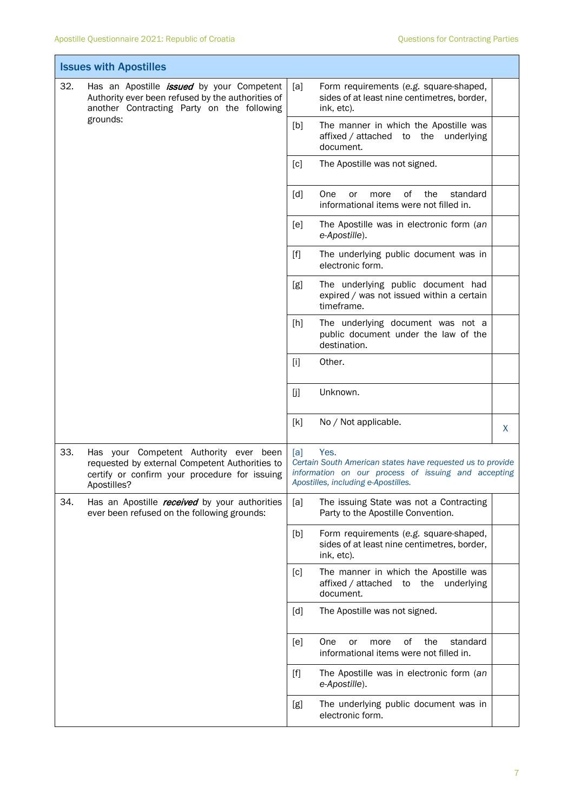| <b>Issues with Apostilles</b> |                                                                                                                                                                 |                                                                                                                                                                         |                                                                                                     |   |
|-------------------------------|-----------------------------------------------------------------------------------------------------------------------------------------------------------------|-------------------------------------------------------------------------------------------------------------------------------------------------------------------------|-----------------------------------------------------------------------------------------------------|---|
| 32.                           | Has an Apostille <i>issued</i> by your Competent<br>Authority ever been refused by the authorities of<br>another Contracting Party on the following<br>grounds: | [a]                                                                                                                                                                     | Form requirements (e.g. square-shaped,<br>sides of at least nine centimetres, border,<br>ink, etc). |   |
|                               |                                                                                                                                                                 | [b]                                                                                                                                                                     | The manner in which the Apostille was<br>affixed / attached to the underlying<br>document.          |   |
|                               |                                                                                                                                                                 | [c]                                                                                                                                                                     | The Apostille was not signed.                                                                       |   |
|                               |                                                                                                                                                                 | [d]                                                                                                                                                                     | One<br>οf<br>the<br>or<br>more<br>standard<br>informational items were not filled in.               |   |
|                               |                                                                                                                                                                 | [e]                                                                                                                                                                     | The Apostille was in electronic form (an<br>e-Apostille).                                           |   |
|                               |                                                                                                                                                                 | $[f]$                                                                                                                                                                   | The underlying public document was in<br>electronic form.                                           |   |
|                               |                                                                                                                                                                 | [g]                                                                                                                                                                     | The underlying public document had<br>expired / was not issued within a certain<br>timeframe.       |   |
|                               |                                                                                                                                                                 | [h]                                                                                                                                                                     | The underlying document was not a<br>public document under the law of the<br>destination.           |   |
|                               |                                                                                                                                                                 | $[1]$                                                                                                                                                                   | Other.                                                                                              |   |
|                               |                                                                                                                                                                 | []                                                                                                                                                                      | Unknown.                                                                                            |   |
|                               |                                                                                                                                                                 | [k]                                                                                                                                                                     | No / Not applicable.                                                                                | X |
| 33.                           | Has your Competent Authority ever been<br>requested by external Competent Authorities to<br>certify or confirm your procedure for issuing<br>Apostilles?        | Yes.<br>[a]<br>Certain South American states have requested us to provide<br>information on our process of issuing and accepting<br>Apostilles, including e-Apostilles. |                                                                                                     |   |
| 34.                           | Has an Apostille received by your authorities<br>ever been refused on the following grounds:                                                                    | [a]                                                                                                                                                                     | The issuing State was not a Contracting<br>Party to the Apostille Convention.                       |   |
|                               |                                                                                                                                                                 | [b]                                                                                                                                                                     | Form requirements (e.g. square-shaped,<br>sides of at least nine centimetres, border,<br>ink, etc). |   |
|                               |                                                                                                                                                                 | [c]                                                                                                                                                                     | The manner in which the Apostille was<br>affixed / attached to the underlying<br>document.          |   |
|                               |                                                                                                                                                                 | [d]                                                                                                                                                                     | The Apostille was not signed.                                                                       |   |
|                               |                                                                                                                                                                 | [e]                                                                                                                                                                     | οf<br>the<br>One<br>more<br>standard<br>or<br>informational items were not filled in.               |   |
|                               |                                                                                                                                                                 | $[f]$                                                                                                                                                                   | The Apostille was in electronic form (an<br>e-Apostille).                                           |   |
|                               |                                                                                                                                                                 | [g]                                                                                                                                                                     | The underlying public document was in<br>electronic form.                                           |   |